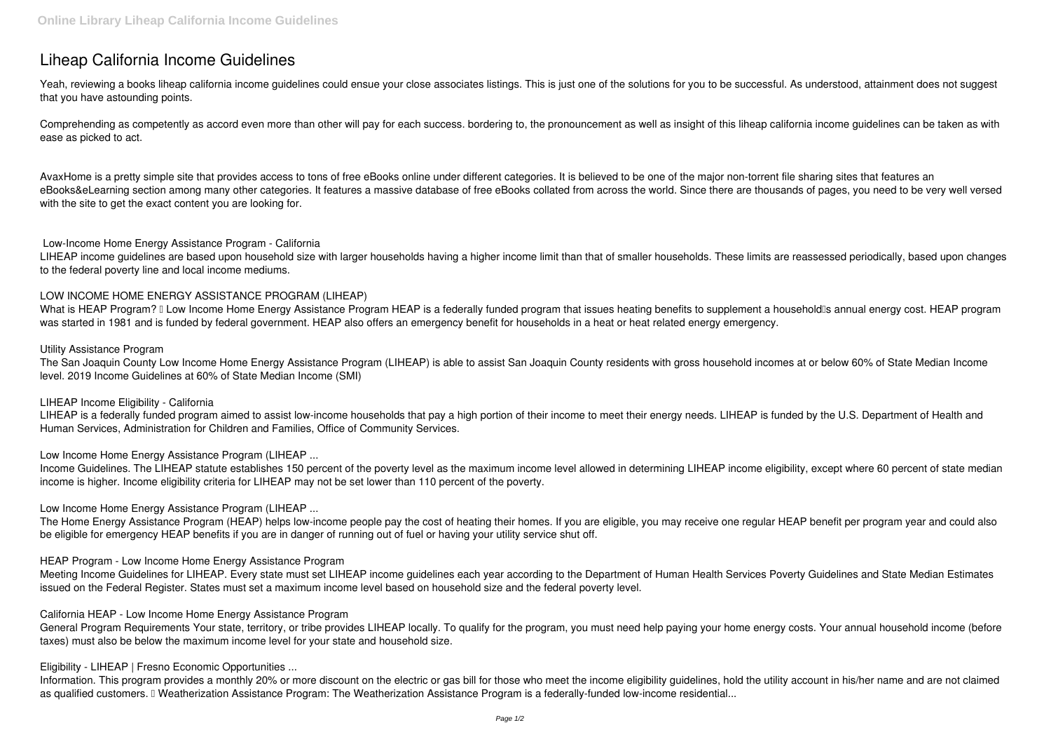# **Liheap California Income Guidelines**

Yeah, reviewing a books **liheap california income guidelines** could ensue your close associates listings. This is just one of the solutions for you to be successful. As understood, attainment does not suggest that you have astounding points.

Comprehending as competently as accord even more than other will pay for each success. bordering to, the pronouncement as well as insight of this liheap california income guidelines can be taken as with ease as picked to act.

AvaxHome is a pretty simple site that provides access to tons of free eBooks online under different categories. It is believed to be one of the major non-torrent file sharing sites that features an eBooks&eLearning section among many other categories. It features a massive database of free eBooks collated from across the world. Since there are thousands of pages, you need to be very well versed with the site to get the exact content you are looking for.

What is HEAP Program? II Low Income Home Energy Assistance Program HEAP is a federally funded program that issues heating benefits to supplement a household is annual energy cost. HEAP program was started in 1981 and is funded by federal government. HEAP also offers an emergency benefit for households in a heat or heat related energy emergency.

#### **Low-Income Home Energy Assistance Program - California**

LIHEAP is a federally funded program aimed to assist low-income households that pay a high portion of their income to meet their energy needs. LIHEAP is funded by the U.S. Department of Health and Human Services, Administration for Children and Families, Office of Community Services.

LIHEAP income guidelines are based upon household size with larger households having a higher income limit than that of smaller households. These limits are reassessed periodically, based upon changes to the federal poverty line and local income mediums.

### **LOW INCOME HOME ENERGY ASSISTANCE PROGRAM (LIHEAP)**

#### **Utility Assistance Program**

The San Joaquin County Low Income Home Energy Assistance Program (LIHEAP) is able to assist San Joaquin County residents with gross household incomes at or below 60% of State Median Income level. 2019 Income Guidelines at 60% of State Median Income (SMI)

Information. This program provides a monthly 20% or more discount on the electric or gas bill for those who meet the income eligibility guidelines, hold the utility account in his/her name and are not claimed as qualified customers. I Weatherization Assistance Program: The Weatherization Assistance Program is a federally-funded low-income residential...

#### **LIHEAP Income Eligibility - California**

**Low Income Home Energy Assistance Program (LIHEAP ...**

Income Guidelines. The LIHEAP statute establishes 150 percent of the poverty level as the maximum income level allowed in determining LIHEAP income eligibility, except where 60 percent of state median income is higher. Income eligibility criteria for LIHEAP may not be set lower than 110 percent of the poverty.

## **Low Income Home Energy Assistance Program (LIHEAP ...**

The Home Energy Assistance Program (HEAP) helps low-income people pay the cost of heating their homes. If you are eligible, you may receive one regular HEAP benefit per program year and could also be eligible for emergency HEAP benefits if you are in danger of running out of fuel or having your utility service shut off.

#### **HEAP Program - Low Income Home Energy Assistance Program**

Meeting Income Guidelines for LIHEAP. Every state must set LIHEAP income guidelines each year according to the Department of Human Health Services Poverty Guidelines and State Median Estimates issued on the Federal Register. States must set a maximum income level based on household size and the federal poverty level.

#### **California HEAP - Low Income Home Energy Assistance Program**

General Program Requirements Your state, territory, or tribe provides LIHEAP locally. To qualify for the program, you must need help paying your home energy costs. Your annual household income (before taxes) must also be below the maximum income level for your state and household size.

**Eligibility - LIHEAP | Fresno Economic Opportunities ...**